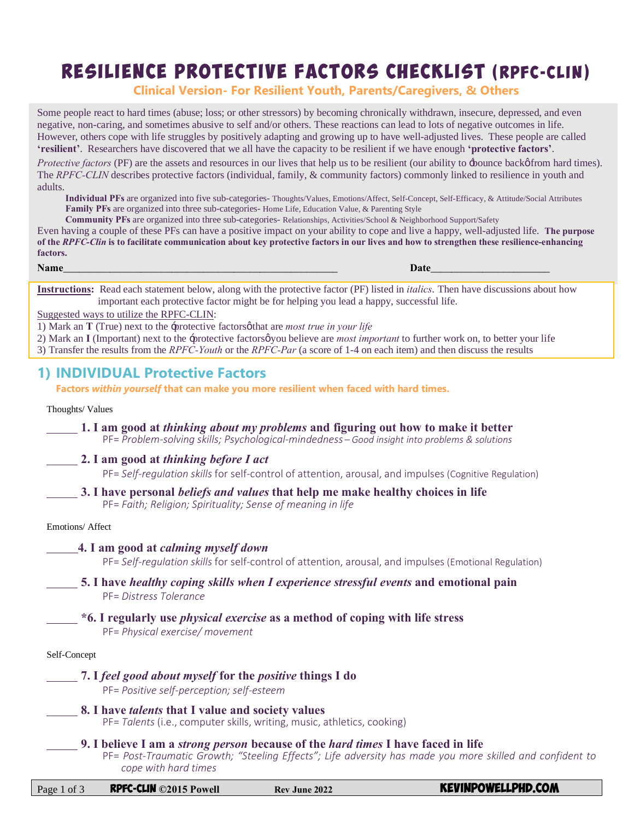# RESILIENCE PROTECTIVE FACTORS CHECKLIST (RPFC-CLIN)

**Clinical Version- For Resilient Youth, Parents/Caregivers, & Others**

Some people react to hard times (abuse; loss; or other stressors) by becoming chronically withdrawn, insecure, depressed, and even negative, non-caring, and sometimes abusive to self and/or others. These reactions can lead to lots of negative outcomes in life. However, others cope with life struggles by positively adapting and growing up to have well-adjusted lives. These people are called **'resilient'**. Researchers have discovered that we all have the capacity to be resilient if we have enough **'protective factors'**.

*Protective factors* (PF) are the assets and resources in our lives that help us to be resilient (our ability to  $\pm$ bounce backof from hard times). The *RPFC-CLIN* describes protective factors (individual, family, & community factors) commonly linked to resilience in youth and adults.

**Individual PFs** are organized into five sub-categories- Thoughts/Values, Emotions/Affect, Self-Concept, Self-Efficacy, & Attitude/Social Attributes **Family PFs** are organized into three sub-categories- Home Life, Education Value, & Parenting Style

**Community PFs** are organized into three sub-categories- Relationships, Activities/School & Neighborhood Support/Safety

Even having a couple of these PFs can have a positive impact on your ability to cope and live a happy, well-adjusted life. **The purpose of the** *RPFC-Clin* **is to facilitate communication about key protective factors in our lives and how to strengthen these resilience-enhancing factors.**

**Name**\_\_\_\_\_\_\_\_\_\_\_\_\_\_\_\_\_\_\_\_\_\_\_\_\_\_\_\_\_\_\_\_\_\_\_\_\_\_\_\_\_\_\_\_\_\_\_\_\_\_\_\_\_ **Date**\_\_\_\_\_\_\_\_\_\_\_\_\_\_\_\_\_\_\_\_\_\_\_

**Instructions:** Read each statement below, along with the protective factor (PF) listed in *italics*. Then have discussions about how important each protective factor might be for helping you lead a happy, successful life.

Suggested ways to utilize the RPFC-CLIN:

1) Mark an **T** (True) next to the -protective factors othat are *most true* in your life

2) Mark an **I** (Important) next to the -protective factorsøyou believe are *most important* to further work on, to better your life

3) Transfer the results from the *RPFC-Youth* or the *RPFC-Par* (a score of 1-4 on each item) and then discuss the results

# **1) INDIVIDUAL Protective Factors**

**Factors** *within yourself* **that can make you more resilient when faced with hard times.** 

### Thoughts/ Values

 **1. I am good at** *thinking about my problems* **and figuring out how to make it better** PF= *Problem-solving skills; Psychological-mindedness – Good insight into problems & solutions*

**2. I am good at** *thinking before I act*

PF= *Self-regulation skills* for self-control of attention, arousal, and impulses (Cognitive Regulation)

#### **3. I have personal** *beliefs and values* **that help me make healthy choices in life** PF= *Faith; Religion; Spirituality; Sense of meaning in life*

Emotions/ Affect

### **4. I am good at** *calming myself down*

PF= *Self-regulation skills* for self-control of attention, arousal, and impulses (Emotional Regulation)

### **5. I have** *healthy coping skills when I experience stressful events* **and emotional pain** PF= *Distress Tolerance*

 **\*6. I regularly use** *physical exercise* **as a method of coping with life stress** PF= *Physical exercise/ movement*

### Self-Concept

- **7. I** *feel good about myself* **for the** *positive* **things I do** PF= *Positive self-perception; self-esteem*
- **8. I have** *talents* **that I value and society values** PF= *Talents* (i.e., computer skills, writing, music, athletics, cooking)
	- **9. I believe I am a** *strong person* **because of the** *hard times* **I have faced in life** 
		- PF= *Post-Traumatic Growth; "Steeling Effects"; Life adversity has made you more skilled and confident to cope with hard times*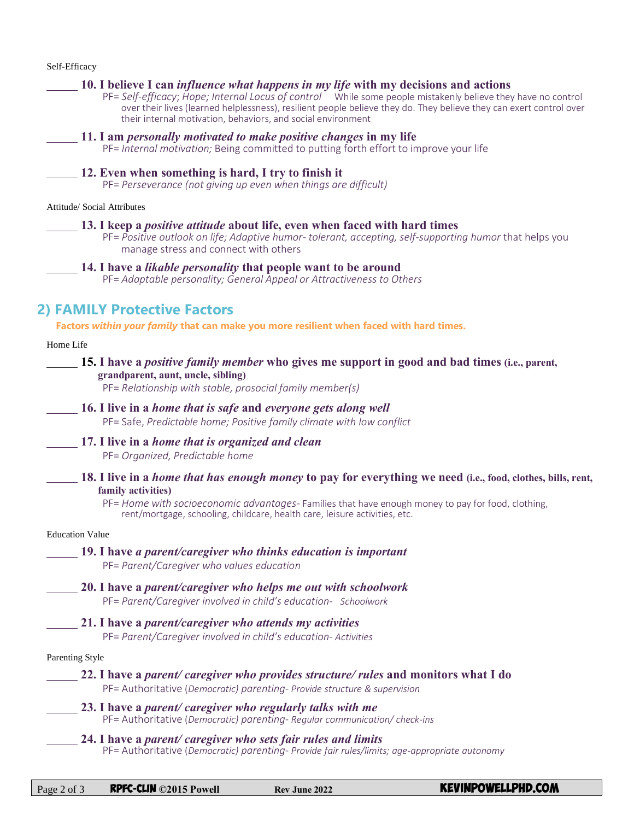| Self-Efficacy                                                                                                                                                                                                                                                                                                                                                                                     |
|---------------------------------------------------------------------------------------------------------------------------------------------------------------------------------------------------------------------------------------------------------------------------------------------------------------------------------------------------------------------------------------------------|
| 10. I believe I can <i>influence what happens in my life</i> with my decisions and actions<br>PF= Self-efficacy; Hope; Internal Locus of control While some people mistakenly believe they have no control<br>over their lives (learned helplessness), resilient people believe they do. They believe they can exert control over<br>their internal motivation, behaviors, and social environment |
| 11. I am <i>personally motivated to make positive changes</i> in my life<br>PF= Internal motivation; Being committed to putting forth effort to improve your life                                                                                                                                                                                                                                 |
| 12. Even when something is hard, I try to finish it<br>PF= Perseverance (not giving up even when things are difficult)                                                                                                                                                                                                                                                                            |
| Attitude/ Social Attributes                                                                                                                                                                                                                                                                                                                                                                       |
| 13. I keep a <i>positive attitude</i> about life, even when faced with hard times<br>PF= Positive outlook on life; Adaptive humor- tolerant, accepting, self-supporting humor that helps you<br>manage stress and connect with others                                                                                                                                                             |
| 14. I have a <i>likable personality</i> that people want to be around<br>PF= Adaptable personality; General Appeal or Attractiveness to Others                                                                                                                                                                                                                                                    |
| <b>2) FAMILY Protective Factors</b>                                                                                                                                                                                                                                                                                                                                                               |
| Factors within your family that can make you more resilient when faced with hard times.                                                                                                                                                                                                                                                                                                           |
| Home Life                                                                                                                                                                                                                                                                                                                                                                                         |
| <b>15.</b> I have a <i>positive family member</i> who gives me support in good and bad times (i.e., parent,<br>grandparent, aunt, uncle, sibling)<br>PF= Relationship with stable, prosocial family member(s)                                                                                                                                                                                     |
| 16. I live in a <i>home that is safe</i> and <i>everyone gets along well</i><br>PF= Safe, Predictable home; Positive family climate with low conflict                                                                                                                                                                                                                                             |
| 17. I live in a <i>home that is organized and clean</i><br>PF= Organized, Predictable home                                                                                                                                                                                                                                                                                                        |
| 18. I live in a <i>home that has enough money</i> to pay for everything we need (i.e., food, clothes, bills, rent,<br>family activities)<br>PF= Home with socioeconomic advantages- Families that have enough money to pay for food, clothing,<br>rent/mortgage, schooling, childcare, health care, leisure activities, etc.                                                                      |
| <b>Education Value</b>                                                                                                                                                                                                                                                                                                                                                                            |
| 19. I have a parent/caregiver who thinks education is important<br>PF= Parent/Caregiver who values education                                                                                                                                                                                                                                                                                      |
| 20. I have a parent/caregiver who helps me out with schoolwork<br>PF= Parent/Caregiver involved in child's education- Schoolwork                                                                                                                                                                                                                                                                  |
| 21. I have a parent/caregiver who attends my activities<br>PF= Parent/Caregiver involved in child's education- Activities                                                                                                                                                                                                                                                                         |
| <b>Parenting Style</b>                                                                                                                                                                                                                                                                                                                                                                            |
| 22. I have a <i>parent/caregiver who provides structure/rules</i> and monitors what I do<br>PF= Authoritative (Democratic) parenting- Provide structure & supervision                                                                                                                                                                                                                             |
| 23. I have a parent/caregiver who regularly talks with me<br>PF= Authoritative (Democratic) parenting- Regular communication/ check-ins                                                                                                                                                                                                                                                           |
| 24. I have a parent/caregiver who sets fair rules and limits<br>PF= Authoritative (Democratic) parenting- Provide fair rules/limits; age-appropriate autonomy                                                                                                                                                                                                                                     |